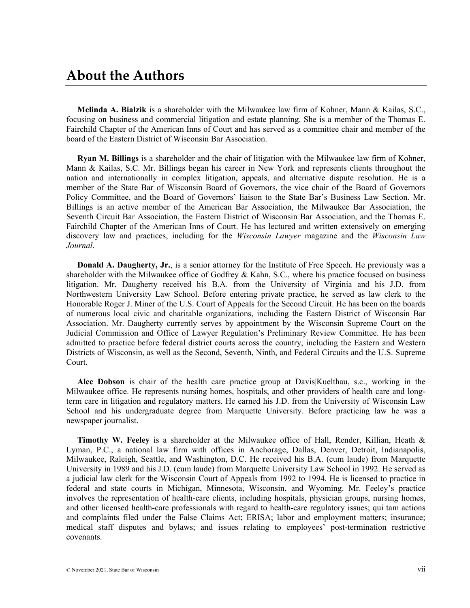**Melinda A. Bialzik** is a shareholder with the Milwaukee law firm of Kohner, Mann & Kailas, S.C., focusing on business and commercial litigation and estate planning. She is a member of the Thomas E. Fairchild Chapter of the American Inns of Court and has served as a committee chair and member of the board of the Eastern District of Wisconsin Bar Association.

**Ryan M. Billings** is a shareholder and the chair of litigation with the Milwaukee law firm of Kohner, Mann & Kailas, S.C. Mr. Billings began his career in New York and represents clients throughout the nation and internationally in complex litigation, appeals, and alternative dispute resolution. He is a member of the State Bar of Wisconsin Board of Governors, the vice chair of the Board of Governors Policy Committee, and the Board of Governors' liaison to the State Bar's Business Law Section. Mr. Billings is an active member of the American Bar Association, the Milwaukee Bar Association, the Seventh Circuit Bar Association, the Eastern District of Wisconsin Bar Association, and the Thomas E. Fairchild Chapter of the American Inns of Court. He has lectured and written extensively on emerging discovery law and practices, including for the *Wisconsin Lawyer* magazine and the *Wisconsin Law Journal*.

**Donald A. Daugherty, Jr.**, is a senior attorney for the Institute of Free Speech. He previously was a shareholder with the Milwaukee office of Godfrey & Kahn, S.C., where his practice focused on business litigation. Mr. Daugherty received his B.A. from the University of Virginia and his J.D. from Northwestern University Law School. Before entering private practice, he served as law clerk to the Honorable Roger J. Miner of the U.S. Court of Appeals for the Second Circuit. He has been on the boards of numerous local civic and charitable organizations, including the Eastern District of Wisconsin Bar Association. Mr. Daugherty currently serves by appointment by the Wisconsin Supreme Court on the Judicial Commission and Office of Lawyer Regulation's Preliminary Review Committee. He has been admitted to practice before federal district courts across the country, including the Eastern and Western Districts of Wisconsin, as well as the Second, Seventh, Ninth, and Federal Circuits and the U.S. Supreme Court.

**Alec Dobson** is chair of the health care practice group at Davis|Kuelthau, s.c., working in the Milwaukee office. He represents nursing homes, hospitals, and other providers of health care and longterm care in litigation and regulatory matters. He earned his J.D. from the University of Wisconsin Law School and his undergraduate degree from Marquette University. Before practicing law he was a newspaper journalist.

**Timothy W. Feeley** is a shareholder at the Milwaukee office of Hall, Render, Killian, Heath & Lyman, P.C., a national law firm with offices in Anchorage, Dallas, Denver, Detroit, Indianapolis, Milwaukee, Raleigh, Seattle, and Washington, D.C. He received his B.A. (cum laude) from Marquette University in 1989 and his J.D. (cum laude) from Marquette University Law School in 1992. He served as a judicial law clerk for the Wisconsin Court of Appeals from 1992 to 1994. He is licensed to practice in federal and state courts in Michigan, Minnesota, Wisconsin, and Wyoming. Mr. Feeley's practice involves the representation of health-care clients, including hospitals, physician groups, nursing homes, and other licensed health-care professionals with regard to health-care regulatory issues; qui tam actions and complaints filed under the False Claims Act; ERISA; labor and employment matters; insurance; medical staff disputes and bylaws; and issues relating to employees' post-termination restrictive covenants.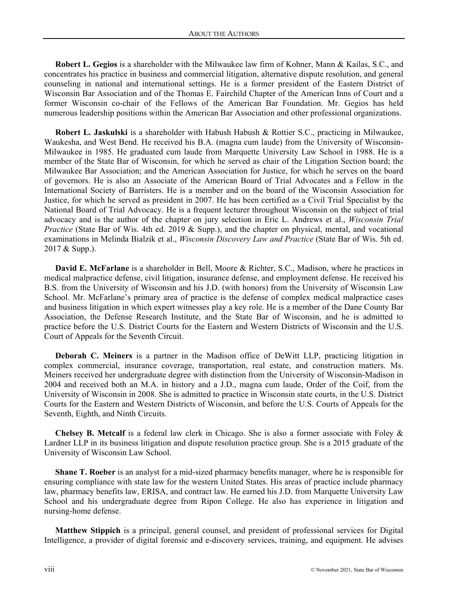**Robert L. Gegios** is a shareholder with the Milwaukee law firm of Kohner, Mann & Kailas, S.C., and concentrates his practice in business and commercial litigation, alternative dispute resolution, and general counseling in national and international settings. He is a former president of the Eastern District of Wisconsin Bar Association and of the Thomas E. Fairchild Chapter of the American Inns of Court and a former Wisconsin co-chair of the Fellows of the American Bar Foundation. Mr. Gegios has held numerous leadership positions within the American Bar Association and other professional organizations.

**Robert L. Jaskulski** is a shareholder with Habush Habush & Rottier S.C., practicing in Milwaukee, Waukesha, and West Bend. He received his B.A. (magna cum laude) from the University of Wisconsin-Milwaukee in 1985. He graduated cum laude from Marquette University Law School in 1988. He is a member of the State Bar of Wisconsin, for which he served as chair of the Litigation Section board; the Milwaukee Bar Association; and the American Association for Justice, for which he serves on the board of governors. He is also an Associate of the American Board of Trial Advocates and a Fellow in the International Society of Barristers. He is a member and on the board of the Wisconsin Association for Justice, for which he served as president in 2007. He has been certified as a Civil Trial Specialist by the National Board of Trial Advocacy. He is a frequent lecturer throughout Wisconsin on the subject of trial advocacy and is the author of the chapter on jury selection in Eric L. Andrews et al., *Wisconsin Trial Practice* (State Bar of Wis. 4th ed. 2019 & Supp.), and the chapter on physical, mental, and vocational examinations in Melinda Bialzik et al., *Wisconsin Discovery Law and Practice* (State Bar of Wis. 5th ed. 2017 & Supp.).

**David E. McFarlane** is a shareholder in Bell, Moore & Richter, S.C., Madison, where he practices in medical malpractice defense, civil litigation, insurance defense, and employment defense. He received his B.S. from the University of Wisconsin and his J.D. (with honors) from the University of Wisconsin Law School. Mr. McFarlane's primary area of practice is the defense of complex medical malpractice cases and business litigation in which expert witnesses play a key role. He is a member of the Dane County Bar Association, the Defense Research Institute, and the State Bar of Wisconsin, and he is admitted to practice before the U.S. District Courts for the Eastern and Western Districts of Wisconsin and the U.S. Court of Appeals for the Seventh Circuit.

**Deborah C. Meiners** is a partner in the Madison office of DeWitt LLP, practicing litigation in complex commercial, insurance coverage, transportation, real estate, and construction matters. Ms. Meiners received her undergraduate degree with distinction from the University of Wisconsin-Madison in 2004 and received both an M.A. in history and a J.D., magna cum laude, Order of the Coif, from the University of Wisconsin in 2008. She is admitted to practice in Wisconsin state courts, in the U.S. District Courts for the Eastern and Western Districts of Wisconsin, and before the U.S. Courts of Appeals for the Seventh, Eighth, and Ninth Circuits.

**Chelsey B. Metcalf** is a federal law clerk in Chicago. She is also a former associate with Foley & Lardner LLP in its business litigation and dispute resolution practice group. She is a 2015 graduate of the University of Wisconsin Law School.

**Shane T. Roeber** is an analyst for a mid-sized pharmacy benefits manager, where he is responsible for ensuring compliance with state law for the western United States. His areas of practice include pharmacy law, pharmacy benefits law, ERISA, and contract law. He earned his J.D. from Marquette University Law School and his undergraduate degree from Ripon College. He also has experience in litigation and nursing-home defense.

**Matthew Stippich** is a principal, general counsel, and president of professional services for Digital Intelligence, a provider of digital forensic and e-discovery services, training, and equipment. He advises